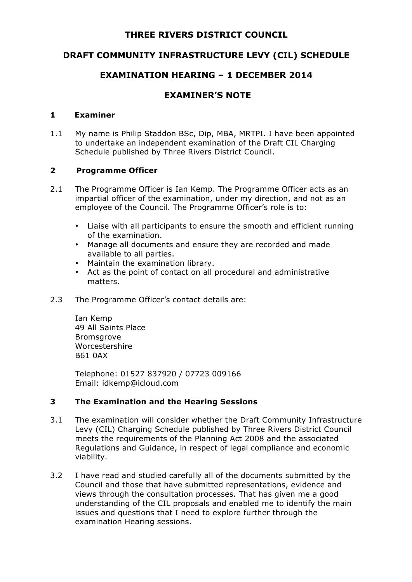## **THREE RIVERS DISTRICT COUNCIL**

# **DRAFT COMMUNITY INFRASTRUCTURE LEVY (CIL) SCHEDULE**

## **EXAMINATION HEARING – 1 DECEMBER 2014**

# **EXAMINER'S NOTE**

#### **1 Examiner**

1.1 My name is Philip Staddon BSc, Dip, MBA, MRTPI. I have been appointed to undertake an independent examination of the Draft CIL Charging Schedule published by Three Rivers District Council.

### **2 Programme Officer**

- 2.1 The Programme Officer is Ian Kemp. The Programme Officer acts as an impartial officer of the examination, under my direction, and not as an employee of the Council. The Programme Officer's role is to:
	- Liaise with all participants to ensure the smooth and efficient running of the examination.
	- Manage all documents and ensure they are recorded and made available to all parties.
	- Maintain the examination library.
	- Act as the point of contact on all procedural and administrative matters.
- 2.3 The Programme Officer's contact details are:

Ian Kemp 49 All Saints Place **Bromsgrove** Worcestershire B61 0AX

Telephone: 01527 837920 / 07723 009166 Email: idkemp@icloud.com

### **3 The Examination and the Hearing Sessions**

- 3.1 The examination will consider whether the Draft Community Infrastructure Levy (CIL) Charging Schedule published by Three Rivers District Council meets the requirements of the Planning Act 2008 and the associated Regulations and Guidance, in respect of legal compliance and economic viability.
- 3.2 I have read and studied carefully all of the documents submitted by the Council and those that have submitted representations, evidence and views through the consultation processes. That has given me a good understanding of the CIL proposals and enabled me to identify the main issues and questions that I need to explore further through the examination Hearing sessions.